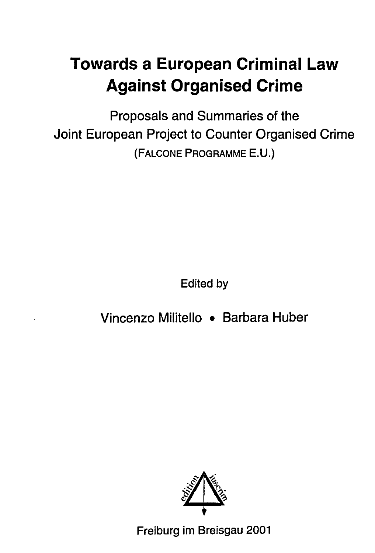## **Towards a European Criminal Law Against Organised Crime**

Proposals and Summaries of the Joint European Project to Counter Organised Crime (FALCONE PROGRAMME E.U.)

Edited by

## Vincenzo Militello • Barbara Huber



Freiburg im Breisgau 2001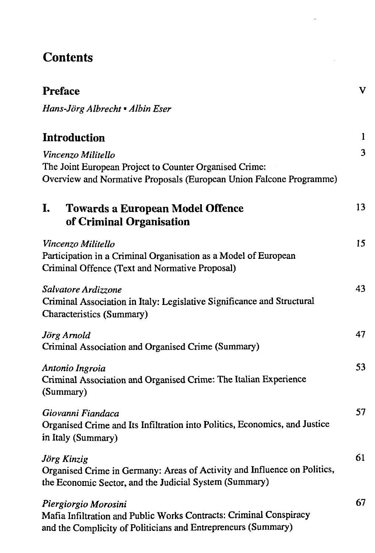## **Contents**

| <b>Preface</b> |  |
|----------------|--|
|                |  |

*Hans-Jörg Albrecht • Albin Eser*

## **Introduction** 1

| Vincenzo Militello<br>The Joint European Project to Counter Organised Crime:<br>Overview and Normative Proposals (European Union Falcone Programme) | 3  |
|-----------------------------------------------------------------------------------------------------------------------------------------------------|----|
| I.<br><b>Towards a European Model Offence</b><br>of Criminal Organisation                                                                           | 13 |
| Vincenzo Militello<br>Participation in a Criminal Organisation as a Model of European<br>Criminal Offence (Text and Normative Proposal)             | 15 |
| Salvatore Ardizzone<br>Criminal Association in Italy: Legislative Significance and Structural<br>Characteristics (Summary)                          | 43 |
| Jörg Arnold<br>Criminal Association and Organised Crime (Summary)                                                                                   | 47 |
| Antonio Ingroia<br>Criminal Association and Organised Crime: The Italian Experience<br>(Summary)                                                    | 53 |
| Giovanni Fiandaca<br>Organised Crime and Its Infiltration into Politics, Economics, and Justice<br>in Italy (Summary)                               | 57 |
| Jörg Kinzig<br>Organised Crime in Germany: Areas of Activity and Influence on Politics,<br>the Economic Sector, and the Judicial System (Summary)   | 61 |
| Piergiorgio Morosini<br>Mafia Infiltration and Public Works Contracts: Criminal Conspiracy                                                          | 67 |

and the Complicity of Politicians and Entrepreneurs (Summary)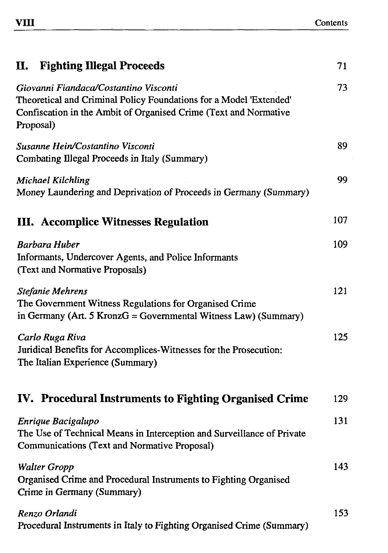| <b>Fighting Illegal Proceeds</b><br>п.                                                                                                                                                       | 71  |
|----------------------------------------------------------------------------------------------------------------------------------------------------------------------------------------------|-----|
| Giovanni Fiandaca/Costantino Visconti<br>Theoretical and Criminal Policy Foundations for a Model 'Extended'<br>Confiscation in the Ambit of Organised Crime (Text and Normative<br>Proposal) |     |
| Susanne Hein/Costantino Visconti<br>Combating Illegal Proceeds in Italy (Summary)                                                                                                            | 89  |
| <b>Michael Kilchling</b><br>Money Laundering and Deprivation of Proceeds in Germany (Summary)                                                                                                | 99  |
| <b>III.</b> Accomplice Witnesses Regulation                                                                                                                                                  | 107 |
| <b>Barbara Huber</b><br>Informants, Undercover Agents, and Police Informants<br>(Text and Normative Proposals)                                                                               | 109 |
| Stefanie Mehrens<br>The Government Witness Regulations for Organised Crime<br>in Germany (Art. 5 KronzG = Governmental Witness Law) (Summary)                                                | 121 |
| Carlo Ruga Riva<br>Juridical Benefits for Accomplices-Witnesses for the Prosecution:<br>The Italian Experience (Summary)                                                                     | 125 |
| IV. Procedural Instruments to Fighting Organised Crime                                                                                                                                       | 129 |
| Enrique Bacigalupo<br>The Use of Technical Means in Interception and Surveillance of Private<br>Communications (Text and Normative Proposal)                                                 | 131 |
| <b>Walter Gropp</b><br>Organised Crime and Procedural Instruments to Fighting Organised<br>Crime in Germany (Summary)                                                                        | 143 |
| Renzo Orlandi<br>Procedural Instruments in Italy to Fighting Organised Crime (Summary)                                                                                                       | 153 |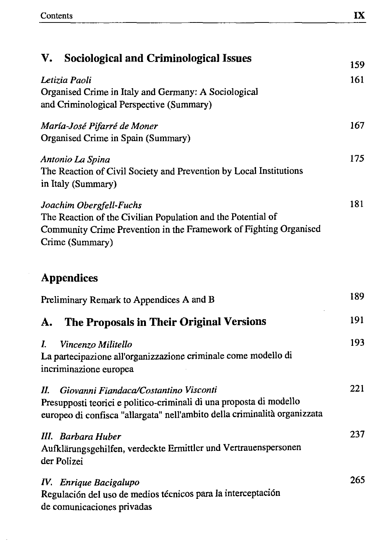$\bar{z}$ 

| V.<br><b>Sociological and Criminological Issues</b>                                                                                                                                             | 159 |
|-------------------------------------------------------------------------------------------------------------------------------------------------------------------------------------------------|-----|
| Letizia Paoli<br>Organised Crime in Italy and Germany: A Sociological<br>and Criminological Perspective (Summary)                                                                               |     |
| María-José Pifarré de Moner<br>Organised Crime in Spain (Summary)                                                                                                                               | 167 |
| Antonio La Spina<br>The Reaction of Civil Society and Prevention by Local Institutions<br>in Italy (Summary)                                                                                    | 175 |
| Joachim Obergfell-Fuchs<br>The Reaction of the Civilian Population and the Potential of<br>Community Crime Prevention in the Framework of Fighting Organised<br>Crime (Summary)                 | 181 |
| <b>Appendices</b>                                                                                                                                                                               |     |
| Preliminary Remark to Appendices A and B                                                                                                                                                        | 189 |
| The Proposals in Their Original Versions<br>А.                                                                                                                                                  | 191 |
| L<br>Vincenzo Militello<br>La partecipazione all'organizzazione criminale come modello di<br>incriminazione europea                                                                             | 193 |
| Giovanni Fiandaca/Costantino Visconti<br>П.<br>Presupposti teorici e politico-criminali di una proposta di modello<br>europeo di confisca "allargata" nell'ambito della criminalità organizzata | 221 |
| III. Barbara Huber<br>Aufklärungsgehilfen, verdeckte Ermittler und Vertrauenspersonen<br>der Polizei                                                                                            | 237 |
| IV. Enrique Bacigalupo<br>Regulación del uso de medios técnicos para la interceptación<br>de comunicaciones privadas                                                                            | 265 |